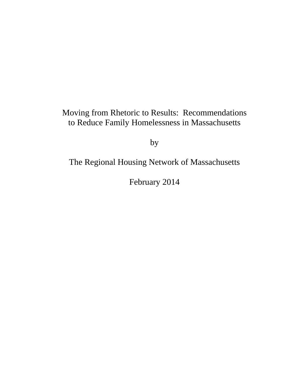# Moving from Rhetoric to Results: Recommendations to Reduce Family Homelessness in Massachusetts

by

# The Regional Housing Network of Massachusetts

February 2014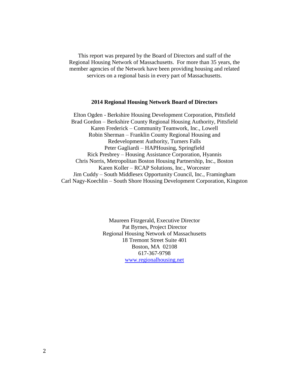This report was prepared by the Board of Directors and staff of the Regional Housing Network of Massachusetts. For more than 35 years, the member agencies of the Network have been providing housing and related services on a regional basis in every part of Massachusetts.

#### **2014 Regional Housing Network Board of Directors**

Elton Ogden - Berkshire Housing Development Corporation, Pittsfield Brad Gordon – Berkshire County Regional Housing Authority, Pittsfield Karen Frederick – Community Teamwork, Inc., Lowell Robin Sherman – Franklin County Regional Housing and Redevelopment Authority, Turners Falls Peter Gagliardi – HAPHousing, Springfield Rick Presbrey – Housing Assistance Corporation, Hyannis Chris Norris, Metropolitan Boston Housing Partnership, Inc., Boston Karen Koller – RCAP Solutions, Inc., Worcester Jim Cuddy – South Middlesex Opportunity Council, Inc., Framingham Carl Nagy-Koechlin – South Shore Housing Development Corporation, Kingston

> Maureen Fitzgerald, Executive Director Pat Byrnes, Project Director Regional Housing Network of Massachusetts 18 Tremont Street Suite 401 Boston, MA 02108 617-367-9798 [www.regionalhousing.net](http://www.regionalhousing.net/)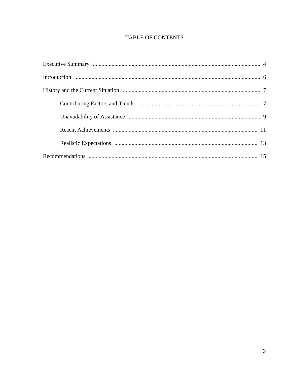## **TABLE OF CONTENTS**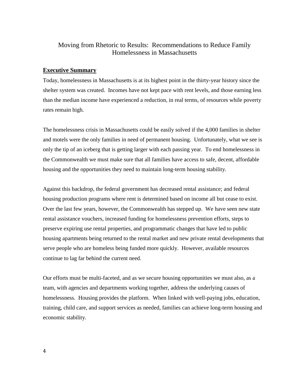## Moving from Rhetoric to Results: Recommendations to Reduce Family Homelessness in Massachusetts

## **Executive Summary**

Today, homelessness in Massachusetts is at its highest point in the thirty-year history since the shelter system was created. Incomes have not kept pace with rent levels, and those earning less than the median income have experienced a reduction, in real terms, of resources while poverty rates remain high.

The homelessness crisis in Massachusetts could be easily solved if the 4,000 families in shelter and motels were the only families in need of permanent housing. Unfortunately, what we see is only the tip of an iceberg that is getting larger with each passing year. To end homelessness in the Commonwealth we must make sure that all families have access to safe, decent, affordable housing and the opportunities they need to maintain long-term housing stability.

Against this backdrop, the federal government has decreased rental assistance; and federal housing production programs where rent is determined based on income all but cease to exist. Over the last few years, however, the Commonwealth has stepped up. We have seen new state rental assistance vouchers, increased funding for homelessness prevention efforts, steps to preserve expiring use rental properties, and programmatic changes that have led to public housing apartments being returned to the rental market and new private rental developments that serve people who are homeless being funded more quickly. However, available resources continue to lag far behind the current need.

Our efforts must be multi-faceted, and as we secure housing opportunities we must also, as a team, with agencies and departments working together, address the underlying causes of homelessness. Housing provides the platform. When linked with well-paying jobs, education, training, child care, and support services as needed, families can achieve long-term housing and economic stability.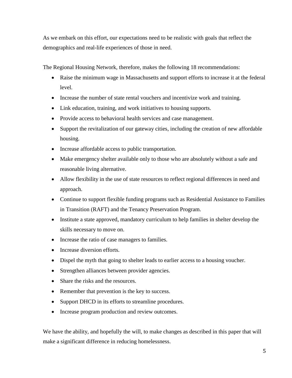As we embark on this effort, our expectations need to be realistic with goals that reflect the demographics and real-life experiences of those in need.

The Regional Housing Network, therefore, makes the following 18 recommendations:

- Raise the minimum wage in Massachusetts and support efforts to increase it at the federal level.
- Increase the number of state rental vouchers and incentivize work and training.
- Link education, training, and work initiatives to housing supports.
- Provide access to behavioral health services and case management.
- Support the revitalization of our gateway cities, including the creation of new affordable housing.
- Increase affordable access to public transportation.
- Make emergency shelter available only to those who are absolutely without a safe and reasonable living alternative.
- Allow flexibility in the use of state resources to reflect regional differences in need and approach.
- Continue to support flexible funding programs such as Residential Assistance to Families in Transition (RAFT) and the Tenancy Preservation Program.
- Institute a state approved, mandatory curriculum to help families in shelter develop the skills necessary to move on.
- Increase the ratio of case managers to families.
- Increase diversion efforts.
- Dispel the myth that going to shelter leads to earlier access to a housing voucher.
- Strengthen alliances between provider agencies.
- Share the risks and the resources.
- Remember that prevention is the key to success.
- Support DHCD in its efforts to streamline procedures.
- Increase program production and review outcomes.

We have the ability, and hopefully the will, to make changes as described in this paper that will make a significant difference in reducing homelessness.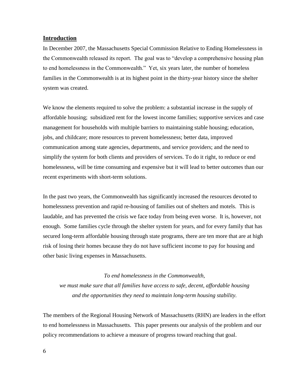## **Introduction**

In December 2007, the Massachusetts Special Commission Relative to Ending Homelessness in the Commonwealth released its report. The goal was to "develop a comprehensive housing plan to end homelessness in the Commonwealth." Yet, six years later, the number of homeless families in the Commonwealth is at its highest point in the thirty-year history since the shelter system was created.

We know the elements required to solve the problem: a substantial increase in the supply of affordable housing; subsidized rent for the lowest income families; supportive services and case management for households with multiple barriers to maintaining stable housing; education, jobs, and childcare; more resources to prevent homelessness; better data, improved communication among state agencies, departments, and service providers; and the need to simplify the system for both clients and providers of services. To do it right, to reduce or end homelessness, will be time consuming and expensive but it will lead to better outcomes than our recent experiments with short-term solutions.

In the past two years, the Commonwealth has significantly increased the resources devoted to homelessness prevention and rapid re-housing of families out of shelters and motels. This is laudable, and has prevented the crisis we face today from being even worse. It is, however, not enough. Some families cycle through the shelter system for years, and for every family that has secured long-term affordable housing through state programs, there are ten more that are at high risk of losing their homes because they do not have sufficient income to pay for housing and other basic living expenses in Massachusetts.

#### *To end homelessness in the Commonwealth,*

*we must make sure that all families have access to safe, decent, affordable housing and the opportunities they need to maintain long-term housing stability.*

The members of the Regional Housing Network of Massachusetts (RHN) are leaders in the effort to end homelessness in Massachusetts. This paper presents our analysis of the problem and our policy recommendations to achieve a measure of progress toward reaching that goal.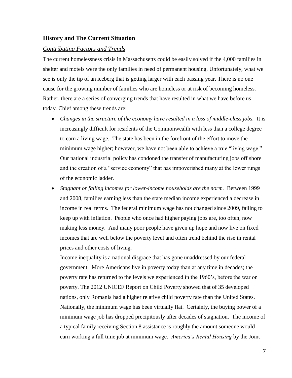## **History and The Current Situation**

## *Contributing Factors and Trends*

The current homelessness crisis in Massachusetts could be easily solved if the 4,000 families in shelter and motels were the only families in need of permanent housing. Unfortunately, what we see is only the tip of an iceberg that is getting larger with each passing year. There is no one cause for the growing number of families who are homeless or at risk of becoming homeless. Rather, there are a series of converging trends that have resulted in what we have before us today. Chief among these trends are:

- *Changes in the structure of the economy have resulted in a loss of middle-class jobs.* It is increasingly difficult for residents of the Commonwealth with less than a college degree to earn a living wage. The state has been in the forefront of the effort to move the minimum wage higher; however, we have not been able to achieve a true "living wage." Our national industrial policy has condoned the transfer of manufacturing jobs off shore and the creation of a "service economy" that has impoverished many at the lower rungs of the economic ladder.
- *Stagnant or falling incomes for lower-income households are the norm.* Between 1999 and 2008, families earning less than the state median income experienced a decrease in income in real terms. The federal minimum wage has not changed since 2009, failing to keep up with inflation. People who once had higher paying jobs are, too often, now making less money. And many poor people have given up hope and now live on fixed incomes that are well below the poverty level and often trend behind the rise in rental prices and other costs of living.

Income inequality is a national disgrace that has gone unaddressed by our federal government. More Americans live in poverty today than at any time in decades; the poverty rate has returned to the levels we experienced in the 1960's, before the war on poverty. The 2012 UNICEF Report on Child Poverty showed that of 35 developed nations, only Romania had a higher relative child poverty rate than the United States. Nationally, the minimum wage has been virtually flat. Certainly, the buying power of a minimum wage job has dropped precipitously after decades of stagnation. The income of a typical family receiving Section 8 assistance is roughly the amount someone would earn working a full time job at minimum wage. *America's Rental Housing* by the Joint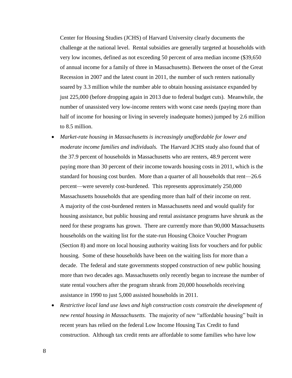Center for Housing Studies (JCHS) of Harvard University clearly documents the challenge at the national level. Rental subsidies are generally targeted at households with very low incomes, defined as not exceeding 50 percent of area median income (\$39,650 of annual income for a family of three in Massachusetts). Between the onset of the Great Recession in 2007 and the latest count in 2011, the number of such renters nationally soared by 3.3 million while the number able to obtain housing assistance expanded by just 225,000 (before dropping again in 2013 due to federal budget cuts). Meanwhile, the number of unassisted very low-income renters with worst case needs (paying more than half of income for housing or living in severely inadequate homes) jumped by 2.6 million to 8.5 million.

- *Market-rate housing in Massachusetts is increasingly unaffordable for lower and moderate income families and individuals.* The Harvard JCHS study also found that of the 37.9 percent of households in Massachusetts who are renters, 48.9 percent were paying more than 30 percent of their income towards housing costs in 2011, which is the standard for housing cost burden. More than a quarter of all households that rent—26.6 percent—were severely cost-burdened. This represents approximately 250,000 Massachusetts households that are spending more than half of their income on rent. A majority of the cost-burdened renters in Massachusetts need and would qualify for housing assistance, but public housing and rental assistance programs have shrunk as the need for these programs has grown. There are currently more than 90,000 Massachusetts households on the waiting list for the state-run Housing Choice Voucher Program (Section 8) and more on local housing authority waiting lists for vouchers and for public housing. Some of these households have been on the waiting lists for more than a decade. The federal and state governments stopped construction of new public housing more than two decades ago. Massachusetts only recently began to increase the number of state rental vouchers after the program shrank from 20,000 households receiving assistance in 1990 to just 5,000 assisted households in 2011.
- *Restrictive local land use laws and high construction costs constrain the development of new rental housing in Massachusetts.* The majority of new "affordable housing" built in recent years has relied on the federal Low Income Housing Tax Credit to fund construction. Although tax credit rents are affordable to some families who have low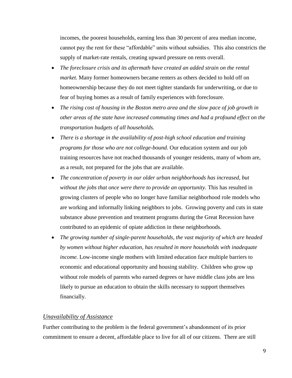incomes, the poorest households, earning less than 30 percent of area median income, cannot pay the rent for these "affordable" units without subsidies. This also constricts the supply of market-rate rentals, creating upward pressure on rents overall.

- *The foreclosure crisis and its aftermath have created an added strain on the rental market.* Many former homeowners became renters as others decided to hold off on homeownership because they do not meet tighter standards for underwriting, or due to fear of buying homes as a result of family experiences with foreclosure.
- *The rising cost of housing in the Boston metro area and the slow pace of job growth in other areas of the state have increased commuting times and had a profound effect on the transportation budgets of all households.*
- *There is a shortage in the availability of post-high school education and training programs for those who are not college-bound.* Our education system and our job training resources have not reached thousands of younger residents, many of whom are, as a result, not prepared for the jobs that are available.
- *The concentration of poverty in our older urban neighborhoods has increased, but without the jobs that once were there to provide an opportunity.* This has resulted in growing clusters of people who no longer have familiar neighborhood role models who are working and informally linking neighbors to jobs. Growing poverty and cuts in state substance abuse prevention and treatment programs during the Great Recession have contributed to an epidemic of opiate addiction in these neighborhoods.
- *The growing number of single-parent households, the vast majority of which are headed by women without higher education, has resulted in more households with inadequate income.* Low-income single mothers with limited education face multiple barriers to economic and educational opportunity and housing stability. Children who grow up without role models of parents who earned degrees or have middle class jobs are less likely to pursue an education to obtain the skills necessary to support themselves financially.

### *Unavailability of Assistance*

Further contributing to the problem is the federal government's abandonment of its prior commitment to ensure a decent, affordable place to live for all of our citizens. There are still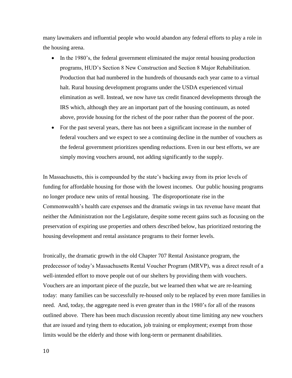many lawmakers and influential people who would abandon any federal efforts to play a role in the housing arena.

- In the 1980's, the federal government eliminated the major rental housing production programs, HUD's Section 8 New Construction and Section 8 Major Rehabilitation. Production that had numbered in the hundreds of thousands each year came to a virtual halt. Rural housing development programs under the USDA experienced virtual elimination as well. Instead, we now have tax credit financed developments through the IRS which, although they are an important part of the housing continuum, as noted above, provide housing for the richest of the poor rather than the poorest of the poor.
- For the past several years, there has not been a significant increase in the number of federal vouchers and we expect to see a continuing decline in the number of vouchers as the federal government prioritizes spending reductions. Even in our best efforts, we are simply moving vouchers around, not adding significantly to the supply.

In Massachusetts, this is compounded by the state's backing away from its prior levels of funding for affordable housing for those with the lowest incomes. Our public housing programs no longer produce new units of rental housing. The disproportionate rise in the Commonwealth's health care expenses and the dramatic swings in tax revenue have meant that neither the Administration nor the Legislature, despite some recent gains such as focusing on the preservation of expiring use properties and others described below, has prioritized restoring the housing development and rental assistance programs to their former levels.

Ironically, the dramatic growth in the old Chapter 707 Rental Assistance program, the predecessor of today's Massachusetts Rental Voucher Program (MRVP), was a direct result of a well-intended effort to move people out of our shelters by providing them with vouchers. Vouchers are an important piece of the puzzle, but we learned then what we are re-learning today: many families can be successfully re-housed only to be replaced by even more families in need. And, today, the aggregate need is even greater than in the 1980's for all of the reasons outlined above. There has been much discussion recently about time limiting any new vouchers that are issued and tying them to education, job training or employment; exempt from those limits would be the elderly and those with long-term or permanent disabilities.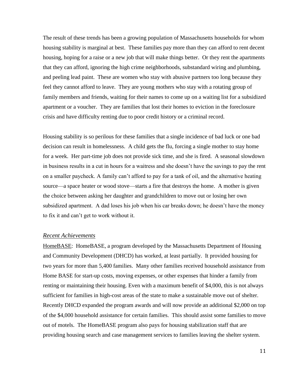The result of these trends has been a growing population of Massachusetts households for whom housing stability is marginal at best. These families pay more than they can afford to rent decent housing, hoping for a raise or a new job that will make things better. Or they rent the apartments that they can afford, ignoring the high crime neighborhoods, substandard wiring and plumbing, and peeling lead paint. These are women who stay with abusive partners too long because they feel they cannot afford to leave. They are young mothers who stay with a rotating group of family members and friends, waiting for their names to come up on a waiting list for a subsidized apartment or a voucher. They are families that lost their homes to eviction in the foreclosure crisis and have difficulty renting due to poor credit history or a criminal record.

Housing stability is so perilous for these families that a single incidence of bad luck or one bad decision can result in homelessness. A child gets the flu, forcing a single mother to stay home for a week. Her part-time job does not provide sick time, and she is fired. A seasonal slowdown in business results in a cut in hours for a waitress and she doesn't have the savings to pay the rent on a smaller paycheck. A family can't afford to pay for a tank of oil, and the alternative heating source—a space heater or wood stove—starts a fire that destroys the home. A mother is given the choice between asking her daughter and grandchildren to move out or losing her own subsidized apartment. A dad loses his job when his car breaks down; he doesn't have the money to fix it and can't get to work without it.

#### *Recent Achievements*

HomeBASE: HomeBASE, a program developed by the Massachusetts Department of Housing and Community Development (DHCD) has worked, at least partially. It provided housing for two years for more than 5,400 families. Many other families received household assistance from Home BASE for start-up costs, moving expenses, or other expenses that hinder a family from renting or maintaining their housing. Even with a maximum benefit of \$4,000, this is not always sufficient for families in high-cost areas of the state to make a sustainable move out of shelter. Recently DHCD expanded the program awards and will now provide an additional \$2,000 on top of the \$4,000 household assistance for certain families. This should assist some families to move out of motels. The HomeBASE program also pays for housing stabilization staff that are providing housing search and case management services to families leaving the shelter system.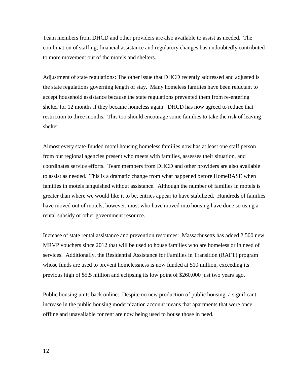Team members from DHCD and other providers are also available to assist as needed. The combination of staffing, financial assistance and regulatory changes has undoubtedly contributed to more movement out of the motels and shelters.

Adjustment of state regulations: The other issue that DHCD recently addressed and adjusted is the state regulations governing length of stay. Many homeless families have been reluctant to accept household assistance because the state regulations prevented them from re-entering shelter for 12 months if they became homeless again. DHCD has now agreed to reduce that restriction to three months. This too should encourage some families to take the risk of leaving shelter.

Almost every state-funded motel housing homeless families now has at least one staff person from our regional agencies present who meets with families, assesses their situation, and coordinates service efforts. Team members from DHCD and other providers are also available to assist as needed. This is a dramatic change from what happened before HomeBASE when families in motels languished without assistance. Although the number of families in motels is greater than where we would like it to be, entries appear to have stabilized. Hundreds of families have moved out of motels; however, most who have moved into housing have done so using a rental subsidy or other government resource.

Increase of state rental assistance and prevention resources: Massachusetts has added 2,500 new MRVP vouchers since 2012 that will be used to house families who are homeless or in need of services. Additionally, the Residential Assistance for Families in Transition (RAFT) program whose funds are used to prevent homelessness is now funded at \$10 million, exceeding its previous high of \$5.5 million and eclipsing its low point of \$260,000 just two years ago.

Public housing units back online: Despite no new production of public housing, a significant increase in the public housing modernization account means that apartments that were once offline and unavailable for rent are now being used to house those in need.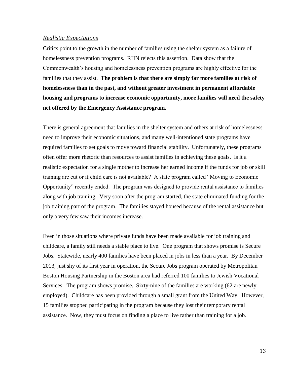### *Realistic Expectations*

Critics point to the growth in the number of families using the shelter system as a failure of homelessness prevention programs. RHN rejects this assertion. Data show that the Commonwealth's housing and homelessness prevention programs are highly effective for the families that they assist. **The problem is that there are simply far more families at risk of homelessness than in the past, and without greater investment in permanent affordable housing and programs to increase economic opportunity, more families will need the safety net offered by the Emergency Assistance program.** 

There is general agreement that families in the shelter system and others at risk of homelessness need to improve their economic situations, and many well-intentioned state programs have required families to set goals to move toward financial stability. Unfortunately, these programs often offer more rhetoric than resources to assist families in achieving these goals. Is it a realistic expectation for a single mother to increase her earned income if the funds for job or skill training are cut or if child care is not available? A state program called "Moving to Economic Opportunity" recently ended. The program was designed to provide rental assistance to families along with job training. Very soon after the program started, the state eliminated funding for the job training part of the program. The families stayed housed because of the rental assistance but only a very few saw their incomes increase.

Even in those situations where private funds have been made available for job training and childcare, a family still needs a stable place to live. One program that shows promise is Secure Jobs. Statewide, nearly 400 families have been placed in jobs in less than a year. By December 2013, just shy of its first year in operation, the Secure Jobs program operated by Metropolitan Boston Housing Partnership in the Boston area had referred 100 families to Jewish Vocational Services. The program shows promise. Sixty-nine of the families are working (62 are newly employed). Childcare has been provided through a small grant from the United Way. However, 15 families stopped participating in the program because they lost their temporary rental assistance. Now, they must focus on finding a place to live rather than training for a job.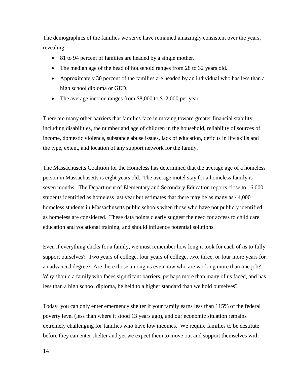The demographics of the families we serve have remained amazingly consistent over the years, revealing:

- 81 to 94 percent of families are headed by a single mother.
- The median age of the head of household ranges from 28 to 32 years old.
- Approximately 30 percent of the families are headed by an individual who has less than a high school diploma or GED.
- The average income ranges from \$8,000 to \$12,000 per year.

There are many other barriers that families face in moving toward greater financial stability, including disabilities, the number and age of children in the household, reliability of sources of income, domestic violence, substance abuse issues, lack of education, deficits in life skills and the type, extent, and location of any support network for the family.

The Massachusetts Coalition for the Homeless has determined that the average age of a homeless person in Massachusetts is eight years old. The average motel stay for a homeless family is seven months. The Department of Elementary and Secondary Education reports close to 16,000 students identified as homeless last year but estimates that there may be as many as 44,000 homeless students in Massachusetts public schools when those who have not publicly identified as homeless are considered. These data points clearly suggest the need for access to child care, education and vocational training, and should influence potential solutions.

Even if everything clicks for a family, we must remember how long it took for each of *us* to fully support ourselves? Two years of college, four years of college, two, three, or four more years for an advanced degree? Are there those among us even now who are working more than one job? Why should a family who faces significant barriers, perhaps more than many of us faced, and has less than a high school diploma, be held to a higher standard than we hold ourselves?

Today, you can only enter emergency shelter if your family earns less than 115% of the federal poverty level (less than where it stood 13 years ago), and our economic situation remains extremely challenging for families who have low incomes. We require families to be destitute before they can enter shelter and yet we expect them to move out and support themselves with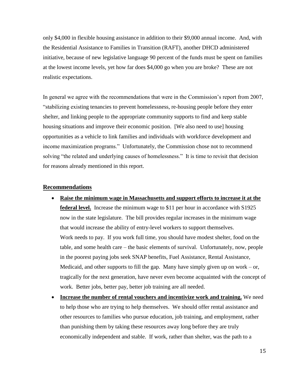only \$4,000 in flexible housing assistance in addition to their \$9,000 annual income. And, with the Residential Assistance to Families in Transition (RAFT), another DHCD administered initiative, because of new legislative language 90 percent of the funds must be spent on families at the lowest income levels, yet how far does \$4,000 go when you are broke? These are not realistic expectations.

In general we agree with the recommendations that were in the Commission's report from 2007, "stabilizing existing tenancies to prevent homelessness, re-housing people before they enter shelter, and linking people to the appropriate community supports to find and keep stable housing situations and improve their economic position. [We also need to use] housing opportunities as a vehicle to link families and individuals with workforce development and income maximization programs." Unfortunately, the Commission chose not to recommend solving "the related and underlying causes of homelessness." It is time to revisit that decision for reasons already mentioned in this report.

## **Recommendations**

- **Raise the minimum wage in Massachusetts and support efforts to increase it at the federal level.** Increase the minimum wage to \$11 per hour in accordance with S1925 now in the state legislature. The bill provides regular increases in the minimum wage that would increase the ability of entry-level workers to support themselves. Work needs to pay. If you work full time, you should have modest shelter, food on the table, and some health care – the basic elements of survival. Unfortunately, now, people in the poorest paying jobs seek SNAP benefits, Fuel Assistance, Rental Assistance, Medicaid, and other supports to fill the gap. Many have simply given up on work  $-$  or, tragically for the next generation, have never even become acquainted with the concept of work. Better jobs, better pay, better job training are all needed.
- **Increase the number of rental vouchers and incentivize work and training.** We need to help those who are trying to help themselves. We should offer rental assistance and other resources to families who pursue education, job training, and employment, rather than punishing them by taking these resources away long before they are truly economically independent and stable. If work, rather than shelter, was the path to a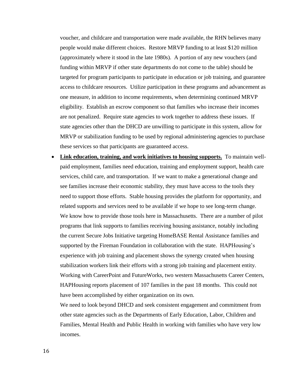voucher, and childcare and transportation were made available, the RHN believes many people would make different choices. Restore MRVP funding to at least \$120 million (approximately where it stood in the late 1980s). A portion of any new vouchers (and funding within MRVP if other state departments do not come to the table) should be targeted for program participants to participate in education or job training, and guarantee access to childcare resources. Utilize participation in these programs and advancement as one measure, in addition to income requirements, when determining continued MRVP eligibility. Establish an escrow component so that families who increase their incomes are not penalized. Require state agencies to work together to address these issues. If state agencies other than the DHCD are unwilling to participate in this system, allow for MRVP or stabilization funding to be used by regional administering agencies to purchase these services so that participants are guaranteed access.

 **Link education, training, and work initiatives to housing supports.** To maintain wellpaid employment, families need education, training and employment support, health care services, child care, and transportation. If we want to make a generational change and see families increase their economic stability, they must have access to the tools they need to support those efforts. Stable housing provides the platform for opportunity, and related supports and services need to be available if we hope to see long-term change. We know how to provide those tools here in Massachusetts. There are a number of pilot programs that link supports to families receiving housing assistance, notably including the current Secure Jobs Initiative targeting HomeBASE Rental Assistance families and supported by the Fireman Foundation in collaboration with the state. HAPHousing's experience with job training and placement shows the synergy created when housing stabilization workers link their efforts with a strong job training and placement entity. Working with CareerPoint and FutureWorks, two western Massachusetts Career Centers, HAPHousing reports placement of 107 families in the past 18 months. This could not have been accomplished by either organization on its own.

We need to look beyond DHCD and seek consistent engagement and commitment from other state agencies such as the Departments of Early Education, Labor, Children and Families, Mental Health and Public Health in working with families who have very low incomes.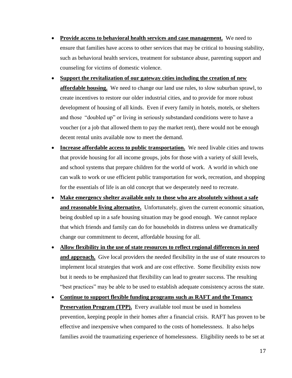- **Provide access to behavioral health services and case management.** We need to ensure that families have access to other services that may be critical to housing stability, such as behavioral health services, treatment for substance abuse, parenting support and counseling for victims of domestic violence.
- **Support the revitalization of our gateway cities including the creation of new affordable housing.** We need to change our land use rules, to slow suburban sprawl, to create incentives to restore our older industrial cities, and to provide for more robust development of housing of all kinds. Even if every family in hotels, motels, or shelters and those "doubled up" or living in seriously substandard conditions were to have a voucher (or a job that allowed them to pay the market rent), there would not be enough decent rental units available now to meet the demand.
- Increase affordable access to public transportation. We need livable cities and towns that provide housing for all income groups, jobs for those with a variety of skill levels, and school systems that prepare children for the world of work. A world in which one can walk to work or use efficient public transportation for work, recreation, and shopping for the essentials of life is an old concept that we desperately need to recreate.
- **Make emergency shelter available only to those who are absolutely without a safe and reasonable living alternative.** Unfortunately, given the current economic situation, being doubled up in a safe housing situation may be good enough. We cannot replace that which friends and family can do for households in distress unless we dramatically change our commitment to decent, affordable housing for all.
- **Allow flexibility in the use of state resources to reflect regional differences in need**  and approach. Give local providers the needed flexibility in the use of state resources to implement local strategies that work and are cost effective. Some flexibility exists now but it needs to be emphasized that flexibility can lead to greater success. The resulting "best practices" may be able to be used to establish adequate consistency across the state.
- **Continue to support flexible funding programs such as RAFT and the Tenancy Preservation Program (TPP).** Every available tool must be used in homeless prevention, keeping people in their homes after a financial crisis. RAFT has proven to be effective and inexpensive when compared to the costs of homelessness. It also helps families avoid the traumatizing experience of homelessness. Eligibility needs to be set at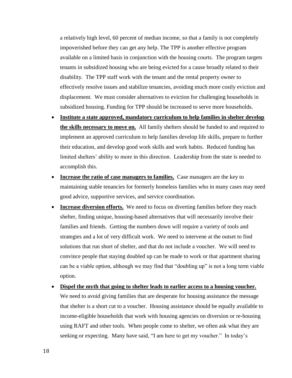a relatively high level, 60 percent of median income, so that a family is not completely impoverished before they can get any help. The TPP is another effective program available on a limited basis in conjunction with the housing courts. The program targets tenants in subsidized housing who are being evicted for a cause broadly related to their disability. The TPP staff work with the tenant and the rental property owner to effectively resolve issues and stabilize tenancies, avoiding much more costly eviction and displacement. We must consider alternatives to eviction for challenging households in subsidized housing. Funding for TPP should be increased to serve more households.

- **Institute a state approved, mandatory curriculum to help families in shelter develop the skills necessary to move on.** All family shelters should be funded to and required to implement an approved curriculum to help families develop life skills, prepare to further their education, and develop good work skills and work habits. Reduced funding has limited shelters' ability to more in this direction. Leadership from the state is needed to accomplish this.
- **Increase the ratio of case managers to families.** Case managers are the key to maintaining stable tenancies for formerly homeless families who in many cases may need good advice, supportive services, and service coordination.
- **Increase diversion efforts.** We need to focus on diverting families before they reach shelter, finding unique, housing-based alternatives that will necessarily involve their families and friends. Getting the numbers down will require a variety of tools and strategies and a lot of very difficult work. We need to intervene at the outset to find solutions that run short of shelter, and that do not include a voucher. We will need to convince people that staying doubled up can be made to work or that apartment sharing can be a viable option, although we may find that "doubling up" is not a long term viable option.
- **Dispel the myth that going to shelter leads to earlier access to a housing voucher.** We need to avoid giving families that are desperate for housing assistance the message that shelter is a short cut to a voucher. Housing assistance should be equally available to income-eligible households that work with housing agencies on diversion or re-housing using RAFT and other tools. When people come to shelter, we often ask what they are seeking or expecting. Many have said, "I am here to get my voucher." In today's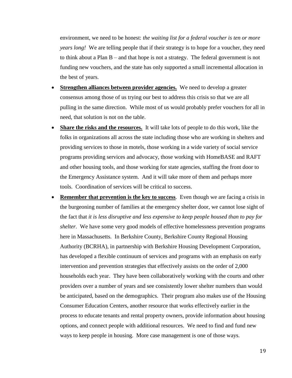environment, we need to be honest: *the waiting list for a federal voucher is ten or more years long!* We are telling people that if their strategy is to hope for a voucher, they need to think about a Plan B – and that hope is not a strategy. The federal government is not funding new vouchers, and the state has only supported a small incremental allocation in the best of years.

- **Strengthen alliances between provider agencies.** We need to develop a greater consensus among those of us trying our best to address this crisis so that we are all pulling in the same direction. While most of us would probably prefer vouchers for all in need, that solution is not on the table.
- **Share the risks and the resources.** It will take lots of people to do this work, like the folks in organizations all across the state including those who are working in shelters and providing services to those in motels, those working in a wide variety of social service programs providing services and advocacy, those working with HomeBASE and RAFT and other housing tools, and those working for state agencies, staffing the front door to the Emergency Assistance system. And it will take more of them and perhaps more tools. Coordination of services will be critical to success.
- **Remember that prevention is the key to success**. Even though we are facing a crisis in the burgeoning number of families at the emergency shelter door, we cannot lose sight of the fact that *it is less disruptive and less expensive to keep people housed than to pay for shelter*. We have some very good models of effective homelessness prevention programs here in Massachusetts. In Berkshire County, Berkshire County Regional Housing Authority (BCRHA), in partnership with Berkshire Housing Development Corporation, has developed a flexible continuum of services and programs with an emphasis on early intervention and prevention strategies that effectively assists on the order of 2,000 households each year. They have been collaboratively working with the courts and other providers over a number of years and see consistently lower shelter numbers than would be anticipated, based on the demographics. Their program also makes use of the Housing Consumer Education Centers, another resource that works effectively earlier in the process to educate tenants and rental property owners, provide information about housing options, and connect people with additional resources. We need to find and fund new ways to keep people in housing. More case management is one of those ways.